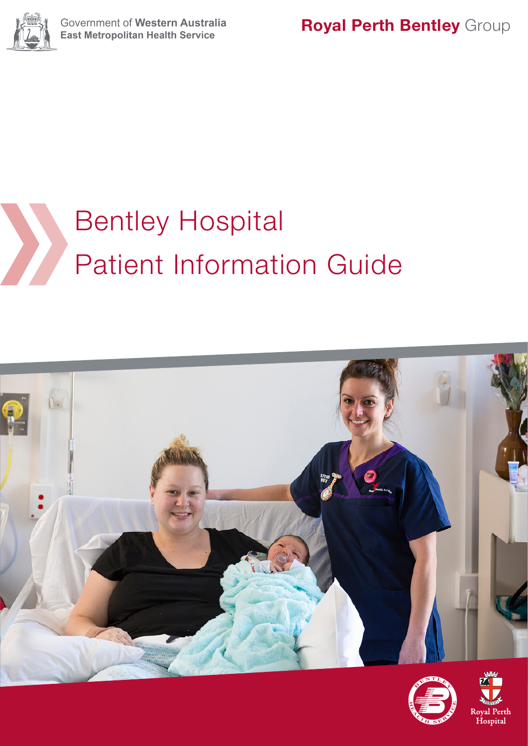

# Bentley Hospital Patient Information Guide





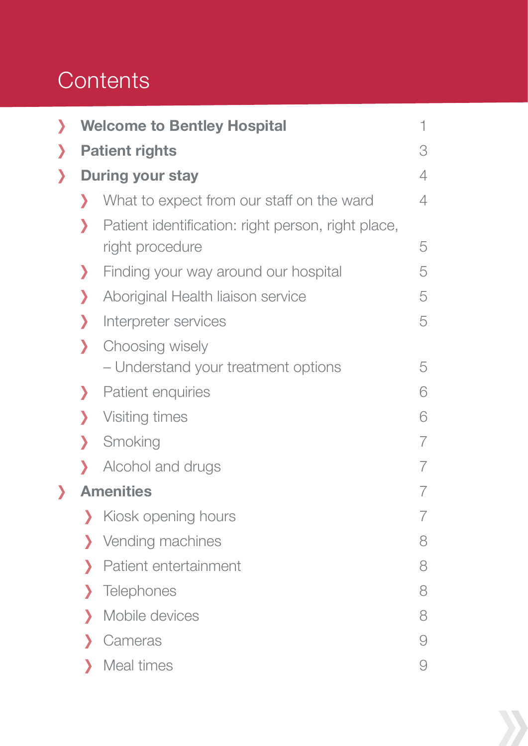# **Contents**

| $\mathbf{\mathbf{)}$   |                    | <b>Welcome to Bentley Hospital</b>                                    | 1 |
|------------------------|--------------------|-----------------------------------------------------------------------|---|
| $\boldsymbol{\lambda}$ |                    | <b>Patient rights</b>                                                 | 3 |
| $\boldsymbol{\lambda}$ |                    | <b>During your stay</b>                                               | 4 |
|                        | $\mathcal Y$       | What to expect from our staff on the ward                             | 4 |
|                        | እ                  | Patient identification: right person, right place,<br>right procedure | 5 |
|                        | ⟩                  | Finding your way around our hospital                                  | 5 |
|                        | Σ                  | Aboriginal Health liaison service                                     | 5 |
|                        | $\mathbf{\Sigma}$  | Interpreter services                                                  | 5 |
|                        | $\lambda$          | Choosing wisely<br>- Understand your treatment options                | 5 |
|                        | $\mathcal Y$       | Patient enquiries                                                     | 6 |
|                        | $\mathbf{\lambda}$ | Visiting times                                                        | 6 |
|                        | $\lambda$          | Smoking                                                               | 7 |
|                        | Y                  | Alcohol and drugs                                                     | 7 |
| $\lambda$              |                    | <b>Amenities</b>                                                      | 7 |
|                        | Σ                  | Kiosk opening hours                                                   | 7 |
|                        | ⟩                  | Vending machines                                                      | 8 |
|                        | እ                  | Patient entertainment                                                 | 8 |
|                        | Σ                  | Telephones                                                            | 8 |
|                        | እ                  | Mobile devices                                                        | 8 |
|                        | y                  | Cameras                                                               | 9 |
|                        | እ                  | Meal times                                                            | 9 |

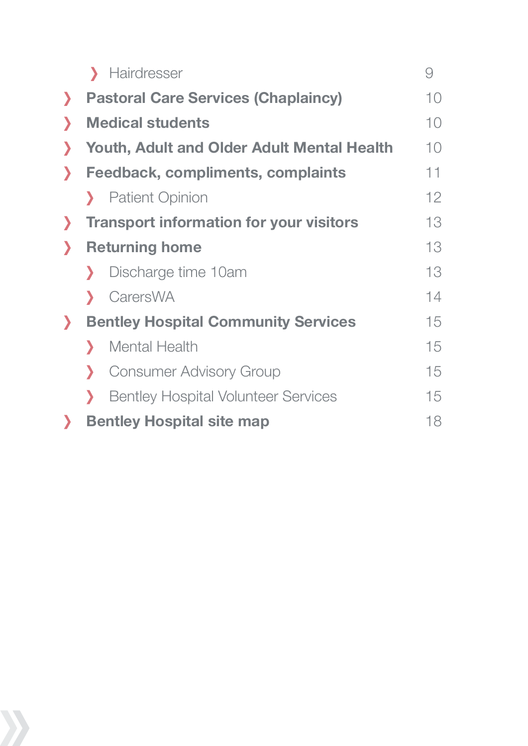| 9                                                       |              |
|---------------------------------------------------------|--------------|
| 10                                                      | У            |
| 10                                                      |              |
| <b>Youth, Adult and Older Adult Mental Health</b><br>10 |              |
| 11                                                      | D            |
| 12                                                      |              |
| 13                                                      | $\mathcal Y$ |
| 13                                                      | Σ            |
| 13                                                      |              |
| 14                                                      |              |
| 15                                                      | $\sum$       |
| 15                                                      |              |
| 15                                                      |              |
| 15                                                      |              |
| 18                                                      |              |
|                                                         |              |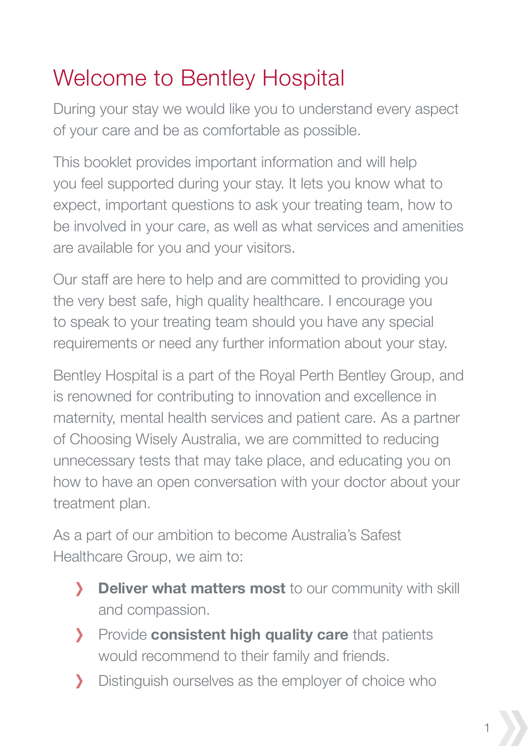# Welcome to Bentley Hospital

During your stay we would like you to understand every aspect of your care and be as comfortable as possible.

This booklet provides important information and will help you feel supported during your stay. It lets you know what to expect, important questions to ask your treating team, how to be involved in your care, as well as what services and amenities are available for you and your visitors.

Our staff are here to help and are committed to providing you the very best safe, high quality healthcare. I encourage you to speak to your treating team should you have any special requirements or need any further information about your stay.

Bentley Hospital is a part of the Royal Perth Bentley Group, and is renowned for contributing to innovation and excellence in maternity, mental health services and patient care. As a partner of Choosing Wisely Australia, we are committed to reducing unnecessary tests that may take place, and educating you on how to have an open conversation with your doctor about your treatment plan.

As a part of our ambition to become Australia's Safest Healthcare Group, we aim to:

- **Deliver what matters most** to our community with skill  $\mathbf{\Sigma}$ and compassion.
- **Provide consistent high quality care** that patients would recommend to their family and friends.
- Distinguish ourselves as the employer of choice who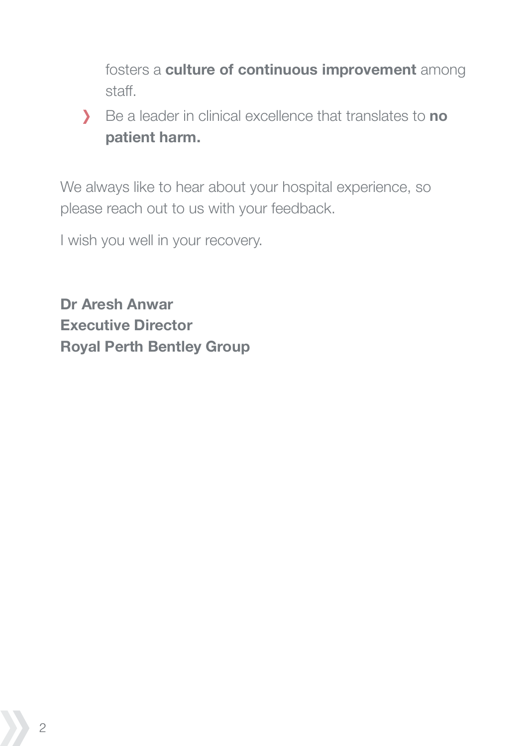fosters a **culture of continuous improvement** among staff.

Be a leader in clinical excellence that translates to **no patient harm.**

We always like to hear about your hospital experience, so please reach out to us with your feedback.

I wish you well in your recovery.

**Dr Aresh Anwar Executive Director Royal Perth Bentley Group**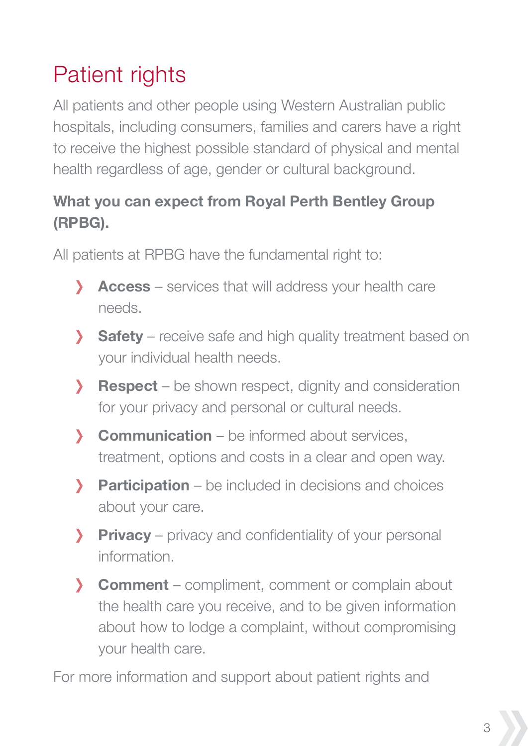# Patient rights

All patients and other people using Western Australian public hospitals, including consumers, families and carers have a right to receive the highest possible standard of physical and mental health regardless of age, gender or cultural background.

#### **What you can expect from Royal Perth Bentley Group (RPBG).**

All patients at RPBG have the fundamental right to:

- **Access** services that will address your health care needs.
- **Safety** receive safe and high quality treatment based on  $\mathbf{\Sigma}$  your individual health needs.
- **Respect** be shown respect, dignity and consideration У for your privacy and personal or cultural needs.
- **Communication** be informed about services,  $\mathbf{\Sigma}$  treatment, options and costs in a clear and open way.
- У **Participation** – be included in decisions and choices about your care.
- $\mathbf{v}$ **Privacy** – privacy and confidentiality of your personal information.
- **Comment** compliment, comment or complain about the health care you receive, and to be given information about how to lodge a complaint, without compromising your health care.

For more information and support about patient rights and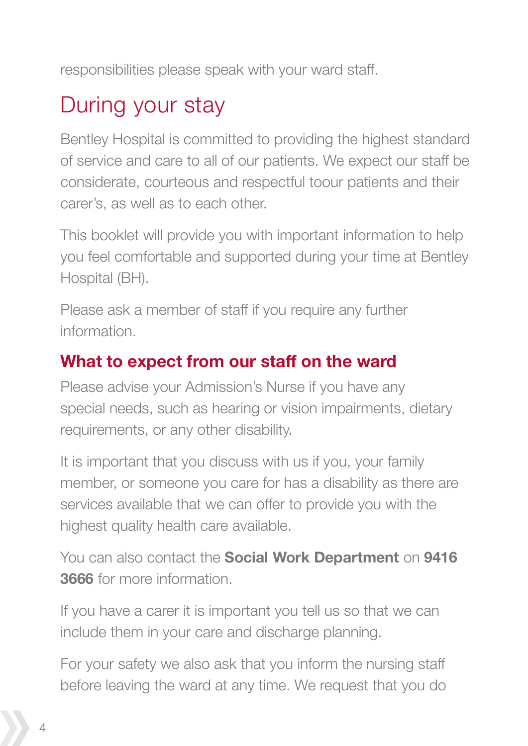responsibilities please speak with your ward staff.

### During your stay

Bentley Hospital is committed to providing the highest standard of service and care to all of our patients. We expect our staff be considerate, courteous and respectful toour patients and their carer's, as well as to each other.

This booklet will provide you with important information to help you feel comfortable and supported during your time at Bentley Hospital (BH).

Please ask a member of staff if you require any further information.

### **What to expect from our staff on the ward**

Please advise your Admission's Nurse if you have any special needs, such as hearing or vision impairments, dietary requirements, or any other disability.

It is important that you discuss with us if you, your family member, or someone you care for has a disability as there are services available that we can offer to provide you with the highest quality health care available.

You can also contact the **Social Work Department** on **9416 3666** for more information.

If you have a carer it is important you tell us so that we can include them in your care and discharge planning.

For your safety we also ask that you inform the nursing staff before leaving the ward at any time. We request that you do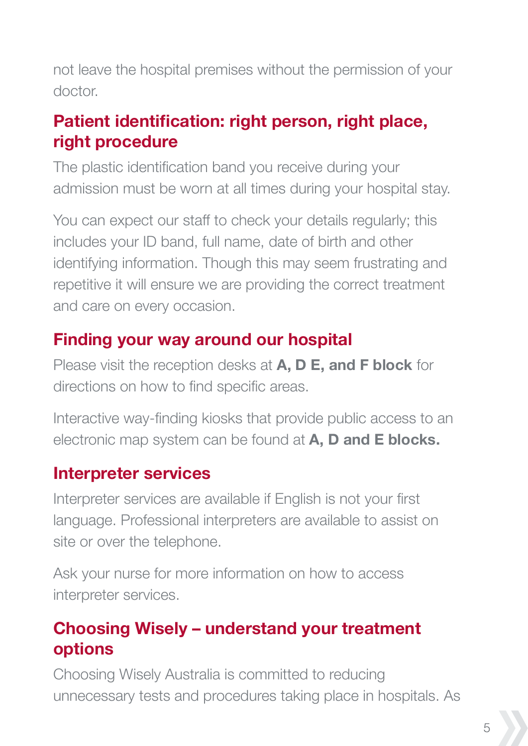not leave the hospital premises without the permission of your doctor.

### **Patient identification: right person, right place, right procedure**

The plastic identification band you receive during your admission must be worn at all times during your hospital stay.

You can expect our staff to check your details regularly; this includes your ID band, full name, date of birth and other identifying information. Though this may seem frustrating and repetitive it will ensure we are providing the correct treatment and care on every occasion.

#### **Finding your way around our hospital**

Please visit the reception desks at **A, D E, and F block** for directions on how to find specific areas.

Interactive way-finding kiosks that provide public access to an electronic map system can be found at **A, D and E blocks.**

#### **Interpreter services**

Interpreter services are available if English is not your first language. Professional interpreters are available to assist on site or over the telephone.

Ask your nurse for more information on how to access interpreter services.

### **Choosing Wisely – understand your treatment options**

Choosing Wisely Australia is committed to reducing unnecessary tests and procedures taking place in hospitals. As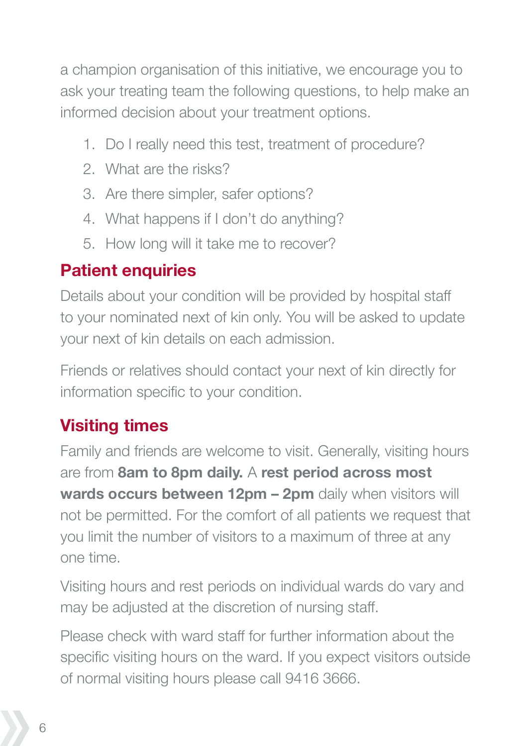a champion organisation of this initiative, we encourage you to ask your treating team the following questions, to help make an informed decision about your treatment options.

- 1. Do I really need this test, treatment of procedure?
- 2. What are the risks?
- 3. Are there simpler, safer options?
- 4. What happens if I don't do anything?
- 5. How long will it take me to recover?

### **Patient enquiries**

Details about your condition will be provided by hospital staff to your nominated next of kin only. You will be asked to update your next of kin details on each admission.

Friends or relatives should contact your next of kin directly for information specific to your condition.

### **Visiting times**

Family and friends are welcome to visit. Generally, visiting hours are from **8am to 8pm daily.** A **rest period across most wards occurs between 12pm – 2pm** daily when visitors will not be permitted. For the comfort of all patients we request that you limit the number of visitors to a maximum of three at any one time.

Visiting hours and rest periods on individual wards do vary and may be adjusted at the discretion of nursing staff.

Please check with ward staff for further information about the specific visiting hours on the ward. If you expect visitors outside of normal visiting hours please call 9416 3666.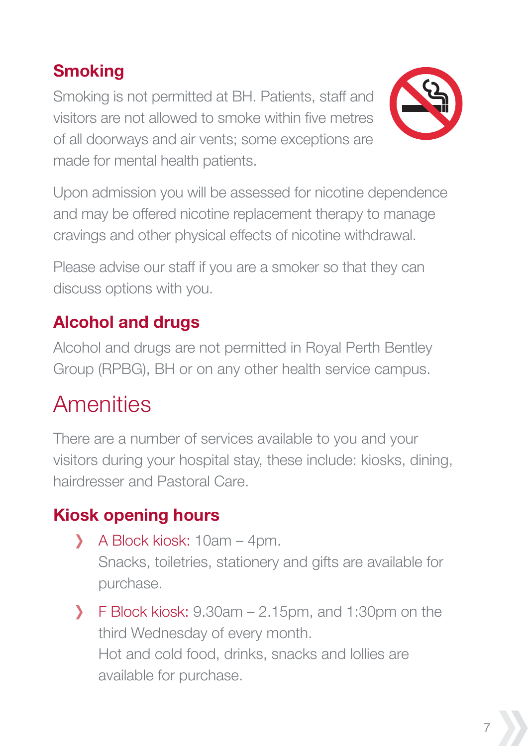### **Smoking**

Smoking is not permitted at BH. Patients, staff and visitors are not allowed to smoke within five metres of all doorways and air vents; some exceptions are made for mental health patients.



Upon admission you will be assessed for nicotine dependence and may be offered nicotine replacement therapy to manage cravings and other physical effects of nicotine withdrawal.

Please advise our staff if you are a smoker so that they can discuss options with you.

### **Alcohol and drugs**

Alcohol and drugs are not permitted in Royal Perth Bentley Group (RPBG), BH or on any other health service campus.

### **Amenities**

There are a number of services available to you and your visitors during your hospital stay, these include: kiosks, dining, hairdresser and Pastoral Care.

### **Kiosk opening hours**

- A Block kiosk: 10am 4pm. Snacks, toiletries, stationery and gifts are available for purchase.
- $\sum_{i=1}^{n}$ F Block kiosk: 9.30am – 2.15pm, and 1:30pm on the third Wednesday of every month. Hot and cold food, drinks, snacks and lollies are available for purchase.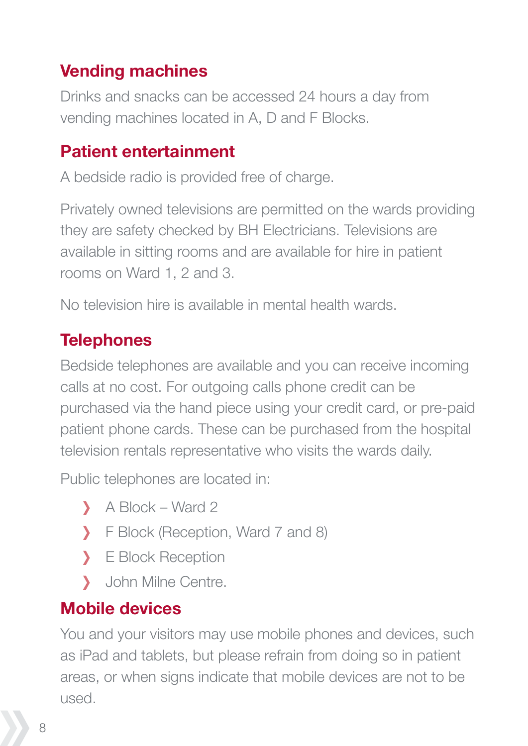### **Vending machines**

Drinks and snacks can be accessed 24 hours a day from vending machines located in A, D and F Blocks.

### **Patient entertainment**

A bedside radio is provided free of charge.

Privately owned televisions are permitted on the wards providing they are safety checked by BH Electricians. Televisions are available in sitting rooms and are available for hire in patient rooms on Ward 1, 2 and 3.

No television hire is available in mental health wards.

### **Telephones**

Bedside telephones are available and you can receive incoming calls at no cost. For outgoing calls phone credit can be purchased via the hand piece using your credit card, or pre-paid patient phone cards. These can be purchased from the hospital television rentals representative who visits the wards daily.

Public telephones are located in:

- A Block Ward 2
- F Block (Reception, Ward 7 and 8)
- > E Block Reception
- $\mathcal{L}$ John Milne Centre.

### **Mobile devices**

You and your visitors may use mobile phones and devices, such as iPad and tablets, but please refrain from doing so in patient areas, or when signs indicate that mobile devices are not to be used.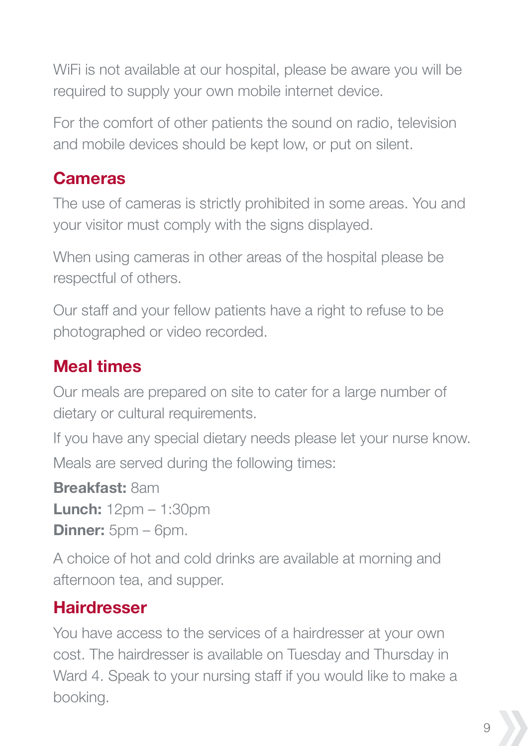WiFi is not available at our hospital, please be aware you will be required to supply your own mobile internet device.

For the comfort of other patients the sound on radio, television and mobile devices should be kept low, or put on silent.

### **Cameras**

The use of cameras is strictly prohibited in some areas. You and your visitor must comply with the signs displayed.

When using cameras in other areas of the hospital please be respectful of others.

Our staff and your fellow patients have a right to refuse to be photographed or video recorded.

### **Meal times**

Our meals are prepared on site to cater for a large number of dietary or cultural requirements.

If you have any special dietary needs please let your nurse know. Meals are served during the following times:

**Breakfast:** 8am **Lunch:** 12pm – 1:30pm **Dinner:** 5pm – 6pm.

A choice of hot and cold drinks are available at morning and afternoon tea, and supper.

### **Hairdresser**

You have access to the services of a hairdresser at your own cost. The hairdresser is available on Tuesday and Thursday in Ward 4. Speak to your nursing staff if you would like to make a booking.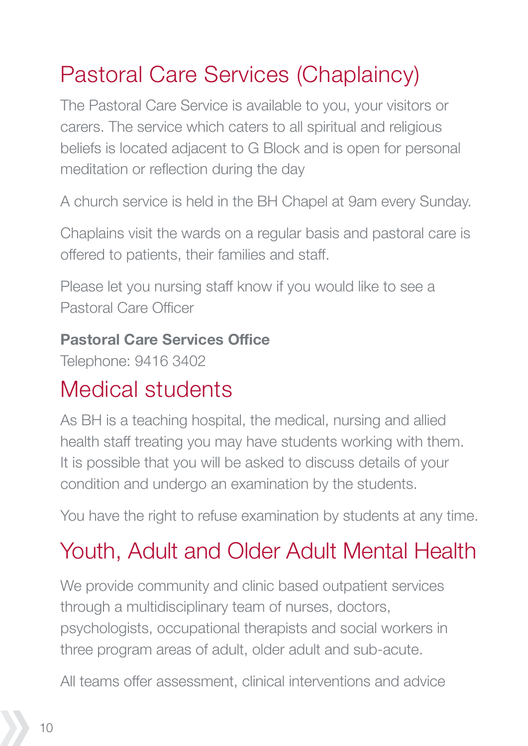# Pastoral Care Services (Chaplaincy)

The Pastoral Care Service is available to you, your visitors or carers. The service which caters to all spiritual and religious beliefs is located adjacent to G Block and is open for personal meditation or reflection during the day

A church service is held in the BH Chapel at 9am every Sunday.

Chaplains visit the wards on a regular basis and pastoral care is offered to patients, their families and staff.

Please let you nursing staff know if you would like to see a Pastoral Care Officer

#### **Pastoral Care Services Office**

Telephone: 9416 3402

### Medical students

As BH is a teaching hospital, the medical, nursing and allied health staff treating you may have students working with them. It is possible that you will be asked to discuss details of your condition and undergo an examination by the students.

You have the right to refuse examination by students at any time.

# Youth, Adult and Older Adult Mental Health

We provide community and clinic based outpatient services through a multidisciplinary team of nurses, doctors, psychologists, occupational therapists and social workers in three program areas of adult, older adult and sub-acute.

All teams offer assessment, clinical interventions and advice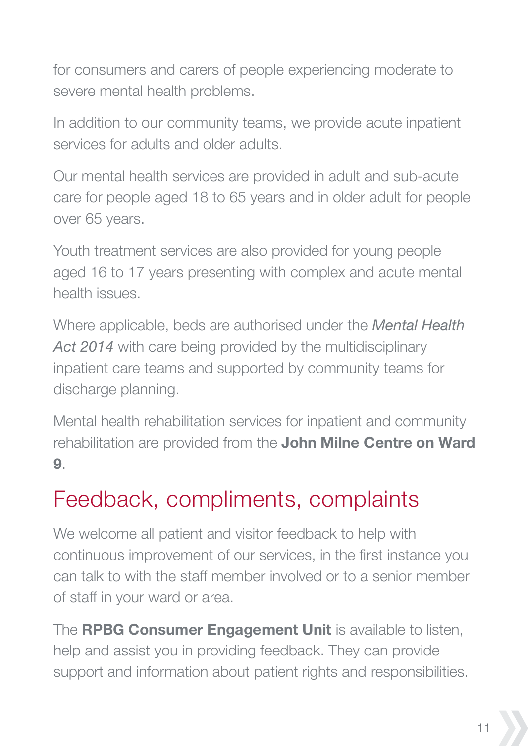for consumers and carers of people experiencing moderate to severe mental health problems.

In addition to our community teams, we provide acute inpatient services for adults and older adults.

Our mental health services are provided in adult and sub-acute care for people aged 18 to 65 years and in older adult for people over 65 years.

Youth treatment services are also provided for young people aged 16 to 17 years presenting with complex and acute mental health issues.

Where applicable, beds are authorised under the *Mental Health*  Act 2014 with care being provided by the multidisciplinary inpatient care teams and supported by community teams for discharge planning.

Mental health rehabilitation services for inpatient and community rehabilitation are provided from the **John Milne Centre on Ward 9**.

### Feedback, compliments, complaints

We welcome all patient and visitor feedback to help with continuous improvement of our services, in the first instance you can talk to with the staff member involved or to a senior member of staff in your ward or area.

The **RPBG Consumer Engagement Unit** is available to listen, help and assist you in providing feedback. They can provide support and information about patient rights and responsibilities.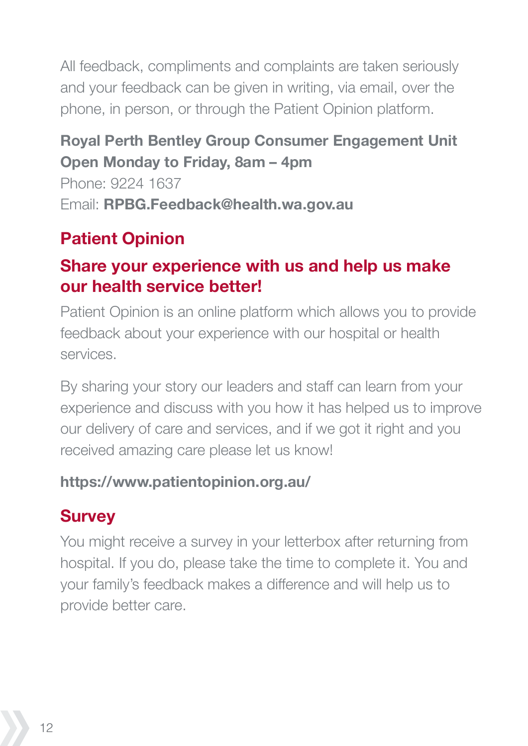All feedback, compliments and complaints are taken seriously and your feedback can be given in writing, via email, over the phone, in person, or through the Patient Opinion platform.

#### **Royal Perth Bentley Group Consumer Engagement Unit Open Monday to Friday, 8am – 4pm**

Phone: 9224 1637 Email: **RPBG.Feedback@health.wa.gov.au** 

### **Patient Opinion**

#### **Share your experience with us and help us make our health service better!**

Patient Opinion is an online platform which allows you to provide feedback about your experience with our hospital or health services.

By sharing your story our leaders and staff can learn from your experience and discuss with you how it has helped us to improve our delivery of care and services, and if we got it right and you received amazing care please let us know!

#### **https://www.patientopinion.org.au/**

### **Survey**

You might receive a survey in your letterbox after returning from hospital. If you do, please take the time to complete it. You and your family's feedback makes a difference and will help us to provide better care.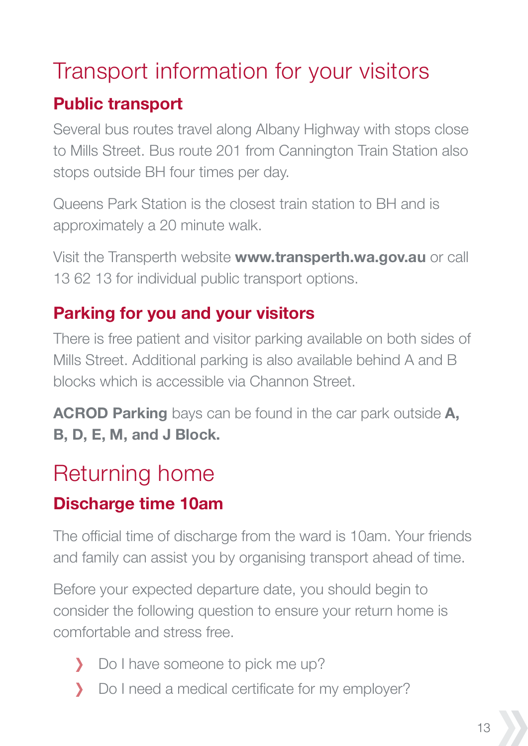### Transport information for your visitors

### **Public transport**

Several bus routes travel along Albany Highway with stops close to Mills Street. Bus route 201 from Cannington Train Station also stops outside BH four times per day.

Queens Park Station is the closest train station to BH and is approximately a 20 minute walk.

Visit the Transperth website **www.transperth.wa.gov.au** or call 13 62 13 for individual public transport options.

### **Parking for you and your visitors**

There is free patient and visitor parking available on both sides of Mills Street. Additional parking is also available behind A and B blocks which is accessible via Channon Street.

**ACROD Parking** bays can be found in the car park outside **A, B, D, E, M, and J Block.** 

# Returning home

### **Discharge time 10am**

The official time of discharge from the ward is 10am. Your friends and family can assist you by organising transport ahead of time.

Before your expected departure date, you should begin to consider the following question to ensure your return home is comfortable and stress free.

- Do I have someone to pick me up?
- Do I need a medical certificate for my employer?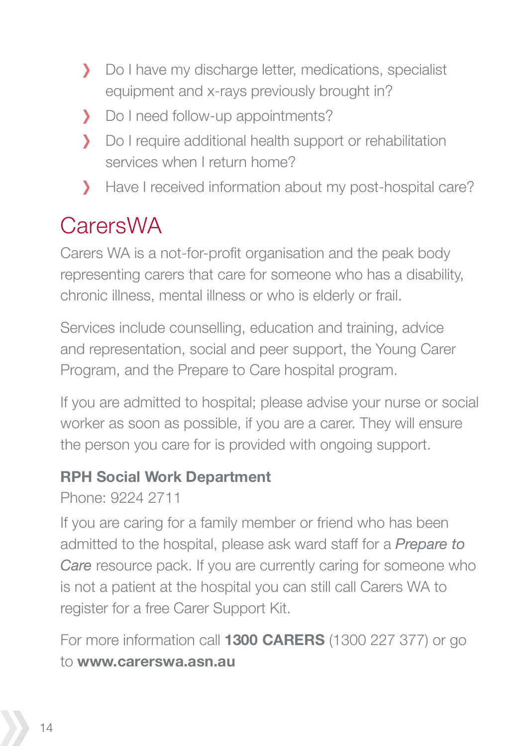- Do I have my discharge letter, medications, specialist equipment and x-rays previously brought in?
- Do I need follow-up appointments?
- Do I require additional health support or rehabilitation  $\mathbf{v}$  services when I return home?
- Have I received information about my post-hospital care?

# CarersWA

Carers WA is a not-for-profit organisation and the peak body representing carers that care for someone who has a disability, chronic illness, mental illness or who is elderly or frail.

Services include counselling, education and training, advice and representation, social and peer support, the Young Carer Program, and the Prepare to Care hospital program.

If you are admitted to hospital; please advise your nurse or social worker as soon as possible, if you are a carer. They will ensure the person you care for is provided with ongoing support.

#### **RPH Social Work Department**

Phone: 9224 2711

If you are caring for a family member or friend who has been admitted to the hospital, please ask ward staff for a *Prepare to Care* resource pack. If you are currently caring for someone who is not a patient at the hospital you can still call Carers WA to register for a free Carer Support Kit.

For more information call **1300 CARERS** (1300 227 377) or go to **www.carerswa.asn.au**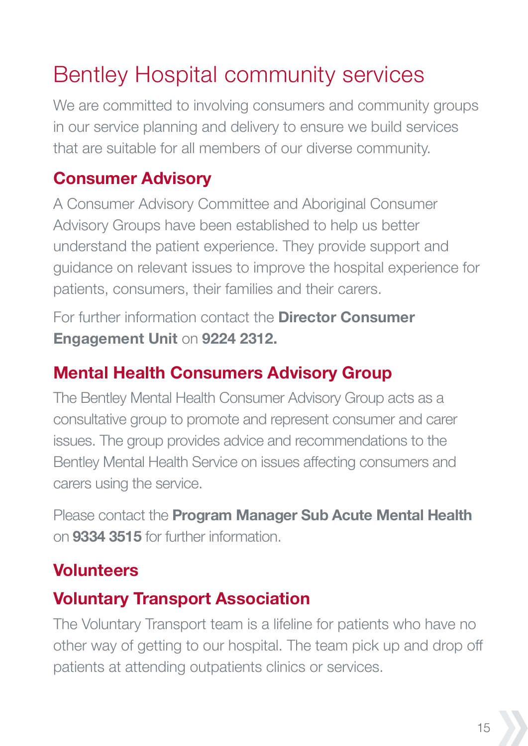# Bentley Hospital community services

We are committed to involving consumers and community groups in our service planning and delivery to ensure we build services that are suitable for all members of our diverse community.

### **Consumer Advisory**

A Consumer Advisory Committee and Aboriginal Consumer Advisory Groups have been established to help us better understand the patient experience. They provide support and guidance on relevant issues to improve the hospital experience for patients, consumers, their families and their carers.

For further information contact the **Director Consumer Engagement Unit** on **9224 2312.**

### **Mental Health Consumers Advisory Group**

The Bentley Mental Health Consumer Advisory Group acts as a consultative group to promote and represent consumer and carer issues. The group provides advice and recommendations to the Bentley Mental Health Service on issues affecting consumers and carers using the service.

Please contact the **Program Manager Sub Acute Mental Health** on **9334 3515** for further information.

### **Volunteers**

#### **Voluntary Transport Association**

The Voluntary Transport team is a lifeline for patients who have no other way of getting to our hospital. The team pick up and drop off patients at attending outpatients clinics or services.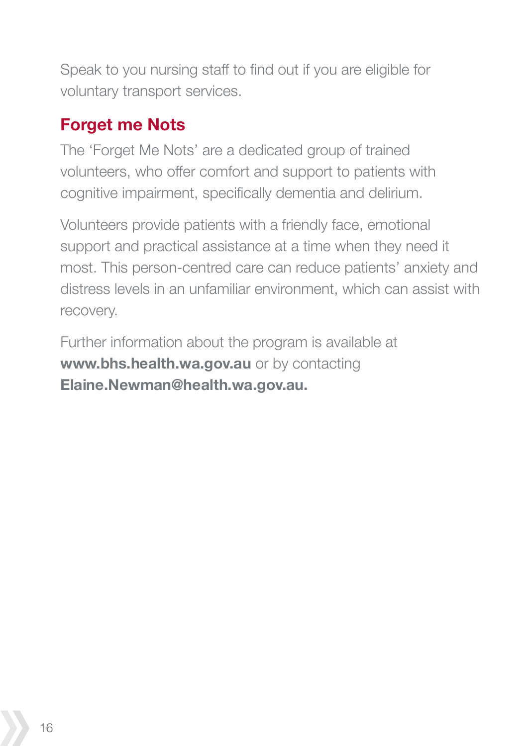Speak to you nursing staff to find out if you are eligible for voluntary transport services.

### **Forget me Nots**

The 'Forget Me Nots' are a dedicated group of trained volunteers, who offer comfort and support to patients with cognitive impairment, specifically dementia and delirium.

Volunteers provide patients with a friendly face, emotional support and practical assistance at a time when they need it most. This person-centred care can reduce patients' anxiety and distress levels in an unfamiliar environment, which can assist with recovery.

Further information about the program is available at **www.bhs.health.wa.gov.au** or by contacting **Elaine.Newman@health.wa.gov.au.**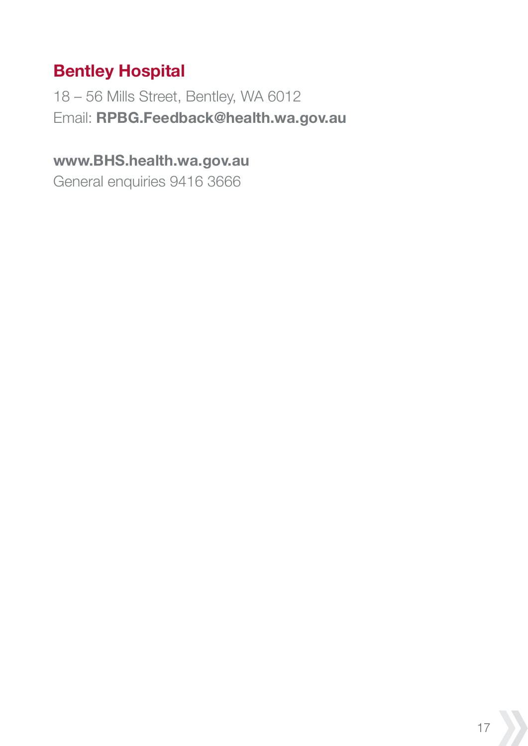### **Bentley Hospital**

18 – 56 Mills Street, Bentley, WA 6012 Email: **RPBG.Feedback@health.wa.gov.au**

#### **www.BHS.health.wa.gov.au**

General enquiries 9416 3666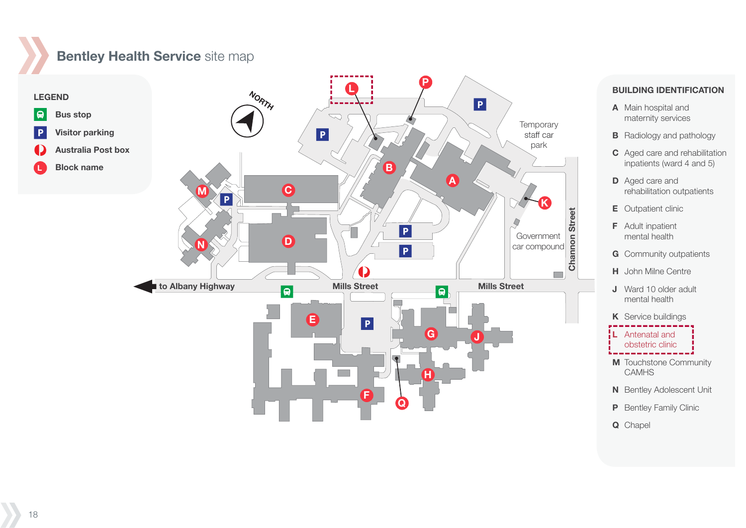### **Bentley Health Service** site map



#### **BUILDING IDENTIFICATION**

- **A** Main hospital and maternity services
- **B** Radiology and pathology
- **C** Aged care and rehabilitation inpatients (ward 4 and 5)
- **D** Aged care and rehabilitation outpatients
- **E** Outpatient clinic
- **F** Adult inpatient mental health CDEFG
- **G** Community outpatients
- **H** John Milne Centre John Milne Centre
- **J** Ward 10 older adult mental health
- **K** Service buildings

**L** Antenatal and

obstetric clinic

- **M** Touchstone Community **CAMHS**
- **N** Bentley Adolescent Unit
- **P** Bentley Family Clinic
- **Q** Chapel